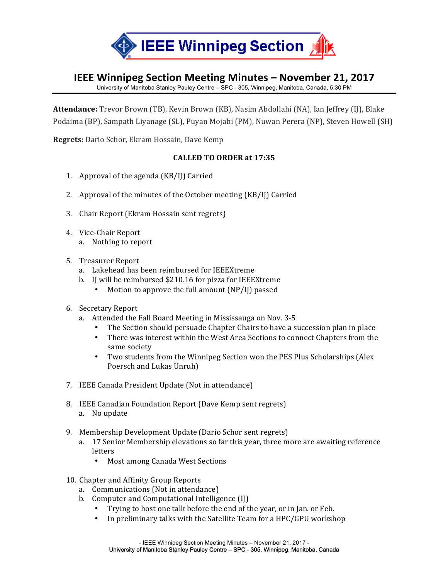

## **IEEE Winnipeg Section Meeting Minutes - November 21, 2017**

University of Manitoba Stanley Pauley Centre – SPC - 305, Winnipeg, Manitoba, Canada, 5:30 PM

**Attendance:** Trevor Brown (TB), Kevin Brown (KB), Nasim Abdollahi (NA), Ian Jeffrey (IJ), Blake Podaima (BP), Sampath Liyanage (SL), Puyan Mojabi (PM), Nuwan Perera (NP), Steven Howell (SH)

**Regrets:** Dario Schor, Ekram Hossain, Dave Kemp

## **CALLED TO ORDER at 17:35**

- 1. Approval of the agenda  $(KB/I)$  Carried
- 2. Approval of the minutes of the October meeting  $(KB/I)$  Carried
- 3. Chair Report (Ekram Hossain sent regrets)
- 4. Vice-Chair Report
	- a. Nothing to report
- 5. Treasurer Report
	- a. Lakehead has been reimbursed for IEEEXtreme
	- b. I will be reimbursed \$210.16 for pizza for IEEEXtreme
		- Motion to approve the full amount  $(NP/I)$  passed
- 6. Secretary Report
	- a. Attended the Fall Board Meeting in Mississauga on Nov. 3-5
		- The Section should persuade Chapter Chairs to have a succession plan in place
		- There was interest within the West Area Sections to connect Chapters from the same society
		- Two students from the Winnipeg Section won the PES Plus Scholarships (Alex Poersch and Lukas Unruh)
- 7. IEEE Canada President Update (Not in attendance)
- 8. IEEE Canadian Foundation Report (Dave Kemp sent regrets) a. No update
- 9. Membership Development Update (Dario Schor sent regrets)
	- a. 17 Senior Membership elevations so far this year, three more are awaiting reference letters
		- Most among Canada West Sections
- 10. Chapter and Affinity Group Reports
	- a. Communications (Not in attendance)
	- b. Computer and Computational Intelligence (IJ)
		- Trying to host one talk before the end of the year, or in Jan. or Feb.
		- In preliminary talks with the Satellite Team for a HPC/GPU workshop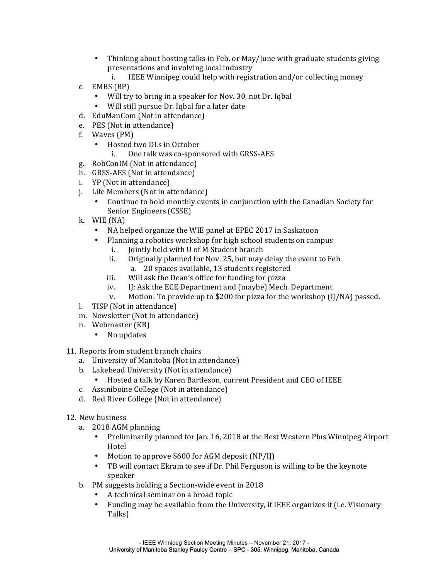- Thinking about hosting talks in Feb. or May/June with graduate students giving presentations and involving local industry
	- i. IEEE Winnipeg could help with registration and/or collecting money
- c. EMBS (BP)
	- Will try to bring in a speaker for Nov. 30, not Dr. Iqbal
	- Will still pursue Dr. Iqbal for a later date
- d. EduManCom (Not in attendance)
- e. PES (Not in attendance)
- f. Waves (PM)
	- Hosted two DLs in October i. One talk was co-sponsored with GRSS-AES
- g. RobConIM (Not in attendance)
- h. GRSS-AES (Not in attendance)
- i. YP (Not in attendance)
- j. Life Members (Not in attendance)
	- Continue to hold monthly events in conjunction with the Canadian Society for Senior Engineers (CSSE)
- k. WIE (NA)
	- NA helped organize the WIE panel at EPEC 2017 in Saskatoon
		- Planning a robotics workshop for high school students on campus
			- i. Jointly held with U of M Student branch
			- ii. Originally planned for Nov. 25, but may delay the event to Feb.
				- a. 20 spaces available, 13 students registered
			- iii. Will ask the Dean's office for funding for pizza
			- iv. IJ: Ask the ECE Department and (maybe) Mech. Department
			- v. Motion: To provide up to \$200 for pizza for the workshop  $\text{[I/NA)}$  passed.
- l. TISP (Not in attendance)
- m. Newsletter (Not in attendance)
- n. Webmaster (KB)
	- No updates
- 11. Reports from student branch chairs
	- a. University of Manitoba (Not in attendance)
	- b. Lakehead University (Not in attendance)
		- Hosted a talk by Karen Bartleson, current President and CEO of IEEE
	- c. Assiniboine College (Not in attendance)
	- d. Red River College (Not in attendance)
- 12. New business
	- a. 2018 AGM planning
		- Preliminarily planned for Jan. 16, 2018 at the Best Western Plus Winnipeg Airport Hotel
		- Motion to approve  $$600$  for AGM deposit (NP/II)
		- TB will contact Ekram to see if Dr. Phil Ferguson is willing to be the keynote speaker
	- b. PM suggests holding a Section-wide event in 2018
		- A technical seminar on a broad topic
		- Funding may be available from the University, if IEEE organizes it (i.e. Visionary Talks)